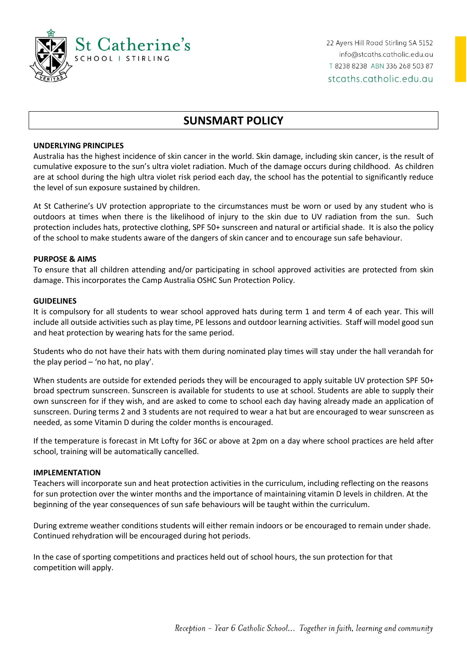

# **SUNSMART POLICY**

# **UNDERLYING PRINCIPLES**

Australia has the highest incidence of skin cancer in the world. Skin damage, including skin cancer, is the result of cumulative exposure to the sun's ultra violet radiation. Much of the damage occurs during childhood. As children are at school during the high ultra violet risk period each day, the school has the potential to significantly reduce the level of sun exposure sustained by children.

At St Catherine's UV protection appropriate to the circumstances must be worn or used by any student who is outdoors at times when there is the likelihood of injury to the skin due to UV radiation from the sun. Such protection includes hats, protective clothing, SPF 50+ sunscreen and natural or artificial shade. It is also the policy of the school to make students aware of the dangers of skin cancer and to encourage sun safe behaviour.

### **PURPOSE & AIMS**

To ensure that all children attending and/or participating in school approved activities are protected from skin damage. This incorporates the Camp Australia OSHC Sun Protection Policy.

#### **GUIDELINES**

It is compulsory for all students to wear school approved hats during term 1 and term 4 of each year. This will include all outside activities such as play time, PE lessons and outdoor learning activities. Staff will model good sun and heat protection by wearing hats for the same period.

Students who do not have their hats with them during nominated play times will stay under the hall verandah for the play period  $-$  'no hat, no play'.

When students are outside for extended periods they will be encouraged to apply suitable UV protection SPF 50+ broad spectrum sunscreen. Sunscreen is available for students to use at school. Students are able to supply their own sunscreen for if they wish, and are asked to come to school each day having already made an application of sunscreen. During terms 2 and 3 students are not required to wear a hat but are encouraged to wear sunscreen as needed, as some Vitamin D during the colder months is encouraged.

If the temperature is forecast in Mt Lofty for 36C or above at 2pm on a day where school practices are held after school, training will be automatically cancelled.

#### **IMPLEMENTATION**

Teachers will incorporate sun and heat protection activities in the curriculum, including reflecting on the reasons for sun protection over the winter months and the importance of maintaining vitamin D levels in children. At the beginning of the year consequences of sun safe behaviours will be taught within the curriculum.

During extreme weather conditions students will either remain indoors or be encouraged to remain under shade. Continued rehydration will be encouraged during hot periods.

In the case of sporting competitions and practices held out of school hours, the sun protection for that competition will apply.